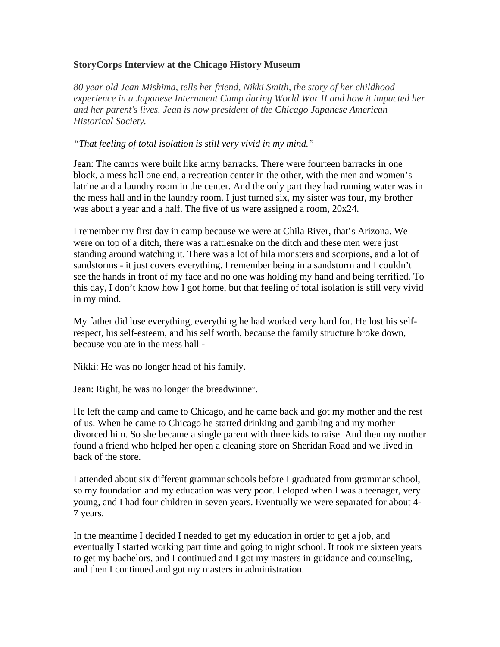## **StoryCorps Interview at the Chicago History Museum**

*80 year old Jean Mishima, tells her friend, Nikki Smith, the story of her childhood experience in a Japanese Internment Camp during World War II and how it impacted her and her parent's lives. Jean is now president of the Chicago Japanese American Historical Society.*

*"That feeling of total isolation is still very vivid in my mind."*

Jean: The camps were built like army barracks. There were fourteen barracks in one block, a mess hall one end, a recreation center in the other, with the men and women's latrine and a laundry room in the center. And the only part they had running water was in the mess hall and in the laundry room. I just turned six, my sister was four, my brother was about a year and a half. The five of us were assigned a room, 20x24.

I remember my first day in camp because we were at Chila River, that's Arizona. We were on top of a ditch, there was a rattlesnake on the ditch and these men were just standing around watching it. There was a lot of hila monsters and scorpions, and a lot of sandstorms - it just covers everything. I remember being in a sandstorm and I couldn't see the hands in front of my face and no one was holding my hand and being terrified. To this day, I don't know how I got home, but that feeling of total isolation is still very vivid in my mind.

My father did lose everything, everything he had worked very hard for. He lost his selfrespect, his self-esteem, and his self worth, because the family structure broke down, because you ate in the mess hall -

Nikki: He was no longer head of his family.

Jean: Right, he was no longer the breadwinner.

He left the camp and came to Chicago, and he came back and got my mother and the rest of us. When he came to Chicago he started drinking and gambling and my mother divorced him. So she became a single parent with three kids to raise. And then my mother found a friend who helped her open a cleaning store on Sheridan Road and we lived in back of the store.

I attended about six different grammar schools before I graduated from grammar school, so my foundation and my education was very poor. I eloped when I was a teenager, very young, and I had four children in seven years. Eventually we were separated for about 4- 7 years.

In the meantime I decided I needed to get my education in order to get a job, and eventually I started working part time and going to night school. It took me sixteen years to get my bachelors, and I continued and I got my masters in guidance and counseling, and then I continued and got my masters in administration.